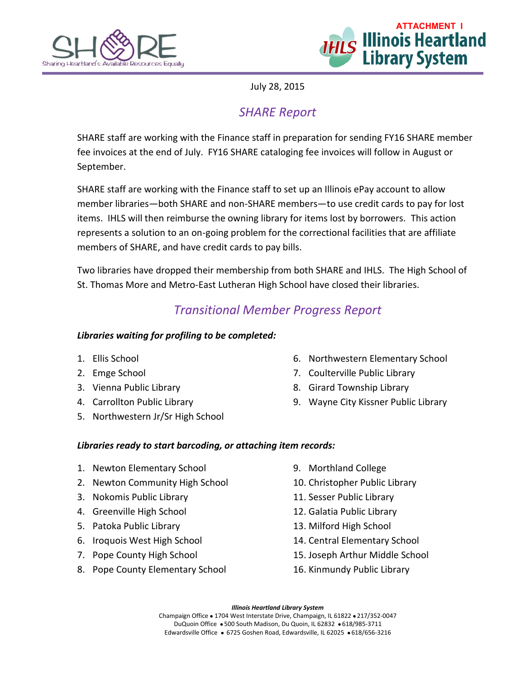



July 28, 2015

## *SHARE Report*

SHARE staff are working with the Finance staff in preparation for sending FY16 SHARE member fee invoices at the end of July. FY16 SHARE cataloging fee invoices will follow in August or September.

SHARE staff are working with the Finance staff to set up an Illinois ePay account to allow member libraries—both SHARE and non-SHARE members—to use credit cards to pay for lost items. IHLS will then reimburse the owning library for items lost by borrowers. This action represents a solution to an on-going problem for the correctional facilities that are affiliate members of SHARE, and have credit cards to pay bills.

Two libraries have dropped their membership from both SHARE and IHLS. The High School of St. Thomas More and Metro-East Lutheran High School have closed their libraries.

## *Transitional Member Progress Report*

#### *Libraries waiting for profiling to be completed:*

- 1. Ellis School
- 2. Emge School
- 3. Vienna Public Library
- 4. Carrollton Public Library
- 5. Northwestern Jr/Sr High School
- 6. Northwestern Elementary School
- 7. Coulterville Public Library
- 8. Girard Township Library
- 9. Wayne City Kissner Public Library

### *Libraries ready to start barcoding, or attaching item records:*

- 1. Newton Elementary School
- 2. Newton Community High School
- 3. Nokomis Public Library
- 4. Greenville High School
- 5. Patoka Public Library
- 6. Iroquois West High School
- 7. Pope County High School
- 8. Pope County Elementary School
- 9. Morthland College
- 10. Christopher Public Library
- 11. Sesser Public Library
- 12. Galatia Public Library
- 13. Milford High School
- 14. Central Elementary School
- 15. Joseph Arthur Middle School
- 16. Kinmundy Public Library

*Illinois Heartland Library System*